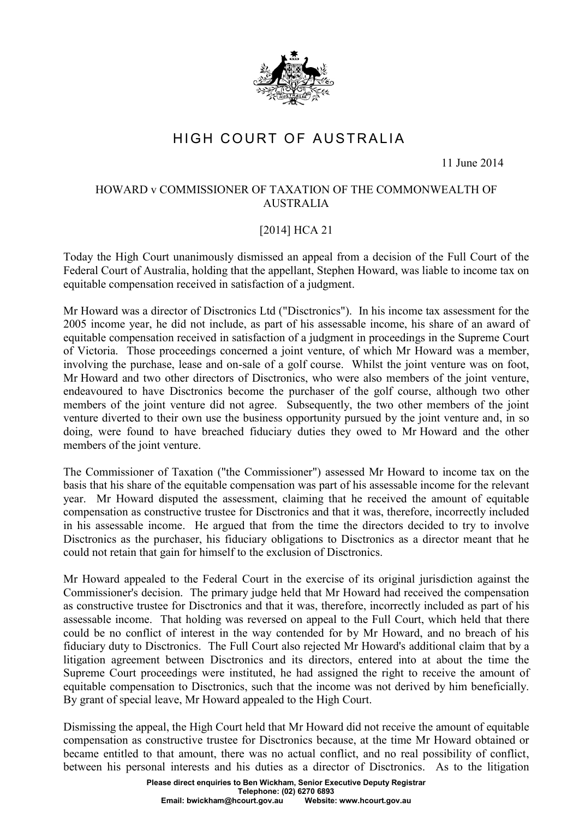

## HIGH COURT OF AUSTRALIA

11 June 2014

## HOWARD v COMMISSIONER OF TAXATION OF THE COMMONWEALTH OF AUSTRALIA

## [2014] HCA 21

Today the High Court unanimously dismissed an appeal from a decision of the Full Court of the Federal Court of Australia, holding that the appellant, Stephen Howard, was liable to income tax on equitable compensation received in satisfaction of a judgment.

Mr Howard was a director of Disctronics Ltd ("Disctronics"). In his income tax assessment for the 2005 income year, he did not include, as part of his assessable income, his share of an award of equitable compensation received in satisfaction of a judgment in proceedings in the Supreme Court of Victoria. Those proceedings concerned a joint venture, of which Mr Howard was a member, involving the purchase, lease and on-sale of a golf course. Whilst the joint venture was on foot, Mr Howard and two other directors of Disctronics, who were also members of the joint venture, endeavoured to have Disctronics become the purchaser of the golf course, although two other members of the joint venture did not agree. Subsequently, the two other members of the joint venture diverted to their own use the business opportunity pursued by the joint venture and, in so doing, were found to have breached fiduciary duties they owed to Mr Howard and the other members of the joint venture.

The Commissioner of Taxation ("the Commissioner") assessed Mr Howard to income tax on the basis that his share of the equitable compensation was part of his assessable income for the relevant year. Mr Howard disputed the assessment, claiming that he received the amount of equitable compensation as constructive trustee for Disctronics and that it was, therefore, incorrectly included in his assessable income. He argued that from the time the directors decided to try to involve Disctronics as the purchaser, his fiduciary obligations to Disctronics as a director meant that he could not retain that gain for himself to the exclusion of Disctronics.

Mr Howard appealed to the Federal Court in the exercise of its original jurisdiction against the Commissioner's decision. The primary judge held that Mr Howard had received the compensation as constructive trustee for Disctronics and that it was, therefore, incorrectly included as part of his assessable income. That holding was reversed on appeal to the Full Court, which held that there could be no conflict of interest in the way contended for by Mr Howard, and no breach of his fiduciary duty to Disctronics. The Full Court also rejected Mr Howard's additional claim that by a litigation agreement between Disctronics and its directors, entered into at about the time the Supreme Court proceedings were instituted, he had assigned the right to receive the amount of equitable compensation to Disctronics, such that the income was not derived by him beneficially. By grant of special leave, Mr Howard appealed to the High Court.

Dismissing the appeal, the High Court held that Mr Howard did not receive the amount of equitable compensation as constructive trustee for Disctronics because, at the time Mr Howard obtained or became entitled to that amount, there was no actual conflict, and no real possibility of conflict, between his personal interests and his duties as a director of Disctronics. As to the litigation